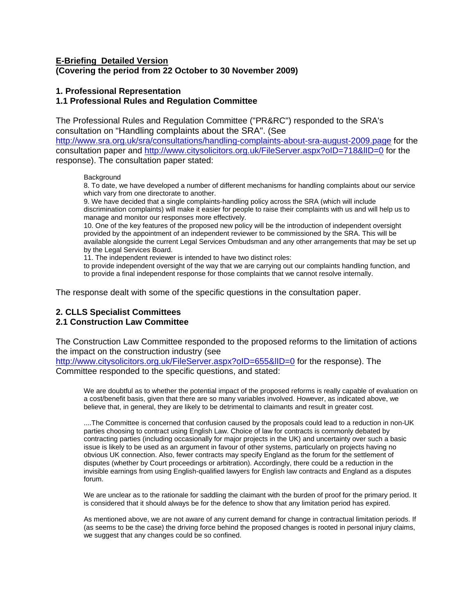## **E-Briefing Detailed Version (Covering the period from 22 October to 30 November 2009)**

## **1. Professional Representation**

## **1.1 Professional Rules and Regulation Committee**

The Professional Rules and Regulation Committee ("PR&RC") responded to the SRA's consultation on "Handling complaints about the SRA". (See

<http://www.sra.org.uk/sra/consultations/handling-complaints-about-sra-august-2009.page>for the consultation paper and<http://www.citysolicitors.org.uk/FileServer.aspx?oID=718&lID=0>for the response). The consultation paper stated:

**Background** 

8. To date, we have developed a number of different mechanisms for handling complaints about our service which vary from one directorate to another.

9. We have decided that a single complaints-handling policy across the SRA (which will include discrimination complaints) will make it easier for people to raise their complaints with us and will help us to manage and monitor our responses more effectively.

10. One of the key features of the proposed new policy will be the introduction of independent oversight provided by the appointment of an independent reviewer to be commissioned by the SRA. This will be available alongside the current Legal Services Ombudsman and any other arrangements that may be set up by the Legal Services Board.

11. The independent reviewer is intended to have two distinct roles:

to provide independent oversight of the way that we are carrying out our complaints handling function, and to provide a final independent response for those complaints that we cannot resolve internally.

The response dealt with some of the specific questions in the consultation paper.

# **2. CLLS Specialist Committees 2.1 Construction Law Committee**

The Construction Law Committee responded to the proposed reforms to the limitation of actions the impact on the construction industry (see

<http://www.citysolicitors.org.uk/FileServer.aspx?oID=655&lID=0> for the response). The Committee responded to the specific questions, and stated:

We are doubtful as to whether the potential impact of the proposed reforms is really capable of evaluation on a cost/benefit basis, given that there are so many variables involved. However, as indicated above, we believe that, in general, they are likely to be detrimental to claimants and result in greater cost.

....The Committee is concerned that confusion caused by the proposals could lead to a reduction in non-UK parties choosing to contract using English Law. Choice of law for contracts is commonly debated by contracting parties (including occasionally for major projects in the UK) and uncertainty over such a basic issue is likely to be used as an argument in favour of other systems, particularly on projects having no obvious UK connection. Also, fewer contracts may specify England as the forum for the settlement of disputes (whether by Court proceedings or arbitration). Accordingly, there could be a reduction in the invisible earnings from using English-qualified lawyers for English law contracts and England as a disputes forum.

We are unclear as to the rationale for saddling the claimant with the burden of proof for the primary period. It is considered that it should always be for the defence to show that any limitation period has expired.

As mentioned above, we are not aware of any current demand for change in contractual limitation periods. If (as seems to be the case) the driving force behind the proposed changes is rooted in personal injury claims, we suggest that any changes could be so confined.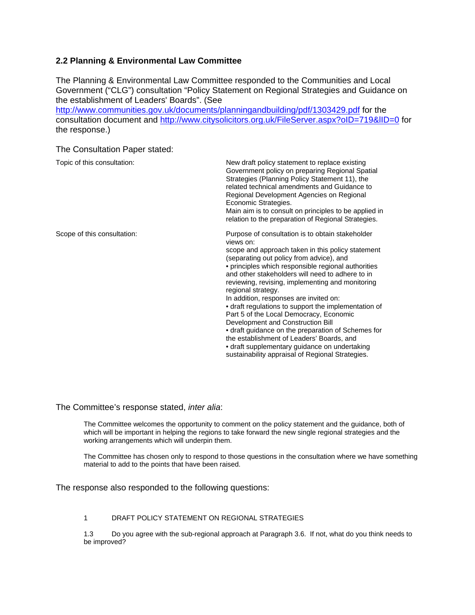# **2.2 Planning & Environmental Law Committee**

The Planning & Environmental Law Committee responded to the Communities and Local Government ("CLG") consultation "Policy Statement on Regional Strategies and Guidance on the establishment of Leaders' Boards". (See

<http://www.communities.gov.uk/documents/planningandbuilding/pdf/1303429.pdf> for the consultation document and <http://www.citysolicitors.org.uk/FileServer.aspx?oID=719&lID=0>for the response.)

The Consultation Paper stated:

| Topic of this consultation: | New draft policy statement to replace existing<br>Government policy on preparing Regional Spatial<br>Strategies (Planning Policy Statement 11), the<br>related technical amendments and Guidance to<br>Regional Development Agencies on Regional<br>Economic Strategies.<br>Main aim is to consult on principles to be applied in<br>relation to the preparation of Regional Strategies.                                                                                                                                                                                                                                                                                                                                                      |
|-----------------------------|-----------------------------------------------------------------------------------------------------------------------------------------------------------------------------------------------------------------------------------------------------------------------------------------------------------------------------------------------------------------------------------------------------------------------------------------------------------------------------------------------------------------------------------------------------------------------------------------------------------------------------------------------------------------------------------------------------------------------------------------------|
| Scope of this consultation: | Purpose of consultation is to obtain stakeholder<br>views on:<br>scope and approach taken in this policy statement<br>(separating out policy from advice), and<br>• principles which responsible regional authorities<br>and other stakeholders will need to adhere to in<br>reviewing, revising, implementing and monitoring<br>regional strategy.<br>In addition, responses are invited on:<br>• draft regulations to support the implementation of<br>Part 5 of the Local Democracy, Economic<br>Development and Construction Bill<br>• draft guidance on the preparation of Schemes for<br>the establishment of Leaders' Boards, and<br>· draft supplementary guidance on undertaking<br>sustainability appraisal of Regional Strategies. |

The Committee's response stated, *inter alia*:

The Committee welcomes the opportunity to comment on the policy statement and the guidance, both of which will be important in helping the regions to take forward the new single regional strategies and the working arrangements which will underpin them.

The Committee has chosen only to respond to those questions in the consultation where we have something material to add to the points that have been raised.

The response also responded to the following questions:

### 1 DRAFT POLICY STATEMENT ON REGIONAL STRATEGIES

1.3 Do you agree with the sub-regional approach at Paragraph 3.6. If not, what do you think needs to be improved?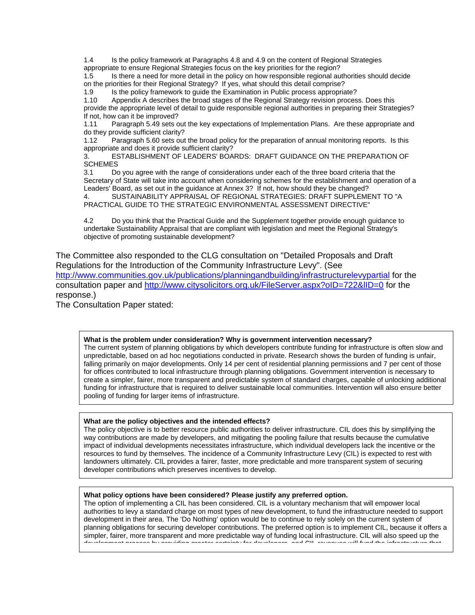1.4 Is the policy framework at Paragraphs 4.8 and 4.9 on the content of Regional Strategies appropriate to ensure Regional Strategies focus on the key priorities for the region?

1.5 Is there a need for more detail in the policy on how responsible regional authorities should decide on the priorities for their Regional Strategy? If yes, what should this detail comprise?

1.9 Is the policy framework to guide the Examination in Public process appropriate?

1.10 Appendix A describes the broad stages of the Regional Strategy revision process. Does this provide the appropriate level of detail to guide responsible regional authorities in preparing their Strategies? If not, how can it be improved?

1.11 Paragraph 5.49 sets out the key expectations of Implementation Plans. Are these appropriate and do they provide sufficient clarity?<br>1.12 Paragraph 5.60 sets out

Paragraph 5.60 sets out the broad policy for the preparation of annual monitoring reports. Is this appropriate and does it provide sufficient clarity?

3. ESTABLISHMENT OF LEADERS' BOARDS: DRAFT GUIDANCE ON THE PREPARATION OF **SCHEMES** 

3.1 Do you agree with the range of considerations under each of the three board criteria that the Secretary of State will take into account when considering schemes for the establishment and operation of a Leaders' Board, as set out in the guidance at Annex 3? If not, how should they be changed?

4. SUSTAINABILITY APPRAISAL OF REGIONAL STRATEGIES: DRAFT SUPPLEMENT TO "A PRACTICAL GUIDE TO THE STRATEGIC ENVIRONMENTAL ASSESSMENT DIRECTIVE"

4.2 Do you think that the Practical Guide and the Supplement together provide enough guidance to undertake Sustainability Appraisal that are compliant with legislation and meet the Regional Strategy's objective of promoting sustainable development?

The Committee also responded to the CLG consultation on "Detailed Proposals and Draft Regulations for the Introduction of the Community Infrastructure Levy". (See <http://www.communities.gov.uk/publications/planningandbuilding/infrastructurelevypartial>for the consultation paper and<http://www.citysolicitors.org.uk/FileServer.aspx?oID=722&lID=0>for the response.)

The Consultation Paper stated:

### **What is the problem under consideration? Why is government intervention necessary?**

The current system of planning obligations by which developers contribute funding for infrastructure is often slow and unpredictable, based on ad hoc negotiations conducted in private. Research shows the burden of funding is unfair, falling primarily on major developments. Only 14 per cent of residential planning permissions and 7 per cent of those for offices contributed to local infrastructure through planning obligations. Government intervention is necessary to create a simpler, fairer, more transparent and predictable system of standard charges, capable of unlocking additional funding for infrastructure that is required to deliver sustainable local communities. Intervention will also ensure better pooling of funding for larger items of infrastructure.

### **What are the policy objectives and the intended effects?**

The policy objective is to better resource public authorities to deliver infrastructure. CIL does this by simplifying the way contributions are made by developers, and mitigating the pooling failure that results because the cumulative impact of individual developments necessitates infrastructure, which individual developers lack the incentive or the resources to fund by themselves. The incidence of a Community Infrastructure Levy (CIL) is expected to rest with landowners ultimately. CIL provides a fairer, faster, more predictable and more transparent system of securing developer contributions which preserves incentives to develop.

### **What policy options have been considered? Please justify any preferred option.**

The option of implementing a CIL has been considered. CIL is a voluntary mechanism that will empower local authorities to levy a standard charge on most types of new development, to fund the infrastructure needed to support development in their area. The 'Do Nothing' option would be to continue to rely solely on the current system of planning obligations for securing developer contributions. The preferred option is to implement CIL, because it offers a simpler, fairer, more transparent and more predictable way of funding local infrastructure. CIL will also speed up the development process by providing greater certainty for developers and CIL revenues will fund the infrastructure that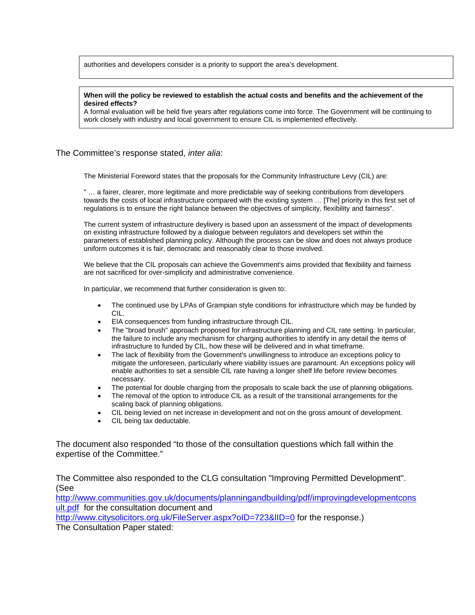authorities and developers consider is a priority to support the area's development.

#### **When will the policy be reviewed to establish the actual costs and benefits and the achievement of the desired effects?**

A formal evaluation will be held five years after regulations come into force. The Government will be continuing to work closely with industry and local government to ensure CIL is implemented effectively.

### The Committee's response stated, *inter alia*:

The Ministerial Foreword states that the proposals for the Community Infrastructure Levy (CIL) are:

" … a fairer, clearer, more legitimate and more predictable way of seeking contributions from developers towards the costs of local infrastructure compared with the existing system … [The] priority in this first set of regulations is to ensure the right balance between the objectives of simplicity, flexibility and fairness".

The current system of infrastructure deylivery is based upon an assessment of the impact of developments on existing infrastructure followed by a dialogue between regulators and developers set within the parameters of established planning policy. Although the process can be slow and does not always produce uniform outcomes it is fair, democratic and reasonably clear to those involved.

We believe that the CIL proposals can achieve the Government's aims provided that flexibility and fairness are not sacrificed for over-simplicity and administrative convenience.

In particular, we recommend that further consideration is given to:

- The continued use by LPAs of Grampian style conditions for infrastructure which may be funded by CIL.
- EIA consequences from funding infrastructure through CIL.
- The "broad brush" approach proposed for infrastructure planning and CIL rate setting. In particular, the failure to include any mechanism for charging authorities to identify in any detail the items of infrastructure to funded by CIL, how these will be delivered and in what timeframe.
- The lack of flexibility from the Government's unwillingness to introduce an exceptions policy to mitigate the unforeseen, particularly where viability issues are paramount. An exceptions policy will enable authorities to set a sensible CIL rate having a longer shelf life before review becomes necessary.
- The potential for double charging from the proposals to scale back the use of planning obligations.
- The removal of the option to introduce CIL as a result of the transitional arrangements for the scaling back of planning obligations.
- CIL being levied on net increase in development and not on the gross amount of development.
- CIL being tax deductable.

The document also responded "to those of the consultation questions which fall within the expertise of the Committee."

The Committee also responded to the CLG consultation "Improving Permitted Development". (See

[http://www.communities.gov.uk/documents/planningandbuilding/pdf/improvingdevelopmentcons](http://www.communities.gov.uk/documents/planningandbuilding/pdf/improvingdevelopmentconsult.pdf) [ult.pdf](http://www.communities.gov.uk/documents/planningandbuilding/pdf/improvingdevelopmentconsult.pdf) for the consultation document and

http://www.citysolicitors.org.uk/FileServer.aspx?oID=723&IID=0 for the response.)

The Consultation Paper stated: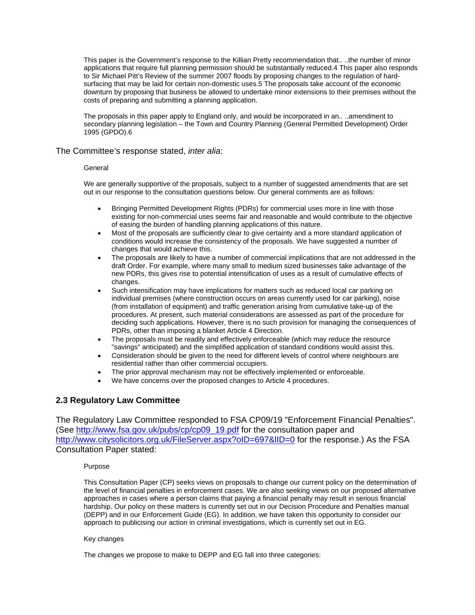This paper is the Government's response to the Killian Pretty recommendation that.. ..the number of minor applications that require full planning permission should be substantially reduced.4 This paper also responds to Sir Michael Pitt's Review of the summer 2007 floods by proposing changes to the regulation of hardsurfacing that may be laid for certain non-domestic uses.5 The proposals take account of the economic downturn by proposing that business be allowed to undertake minor extensions to their premises without the costs of preparing and submitting a planning application.

The proposals in this paper apply to England only, and would be incorporated in an.. ..amendment to secondary planning legislation – the Town and Country Planning (General Permitted Development) Order 1995 (GPDO).6

### The Committee's response stated, *inter alia*:

### General

We are generally supportive of the proposals, subject to a number of suggested amendments that are set out in our response to the consultation questions below. Our general comments are as follows:

- Bringing Permitted Development Rights (PDRs) for commercial uses more in line with those existing for non-commercial uses seems fair and reasonable and would contribute to the objective of easing the burden of handling planning applications of this nature.
- Most of the proposals are sufficiently clear to give certainty and a more standard application of conditions would increase the consistency of the proposals. We have suggested a number of changes that would achieve this.
- The proposals are likely to have a number of commercial implications that are not addressed in the draft Order. For example, where many small to medium sized businesses take advantage of the new PDRs, this gives rise to potential intensification of uses as a result of cumulative effects of changes.
- Such intensification may have implications for matters such as reduced local car parking on individual premises (where construction occurs on areas currently used for car parking), noise (from installation of equipment) and traffic generation arising from cumulative take-up of the procedures. At present, such material considerations are assessed as part of the procedure for deciding such applications. However, there is no such provision for managing the consequences of PDRs, other than imposing a blanket Article 4 Direction.
- The proposals must be readily and effectively enforceable (which may reduce the resource "savings" anticipated) and the simplified application of standard conditions would assist this.
- Consideration should be given to the need for different levels of control where neighbours are residential rather than other commercial occupiers.
- The prior approval mechanism may not be effectively implemented or enforceable.
- We have concerns over the proposed changes to Article 4 procedures.

## **2.3 Regulatory Law Committee**

The Regulatory Law Committee responded to FSA CP09/19 "Enforcement Financial Penalties". (See [http://www.fsa.gov.uk/pubs/cp/cp09\\_19.pdf](http://www.fsa.gov.uk/pubs/cp/cp09_19.pdf) for the consultation paper and <http://www.citysolicitors.org.uk/FileServer.aspx?oID=697&lID=0> for the response.) As the FSA Consultation Paper stated:

### Purpose

This Consultation Paper (CP) seeks views on proposals to change our current policy on the determination of the level of financial penalties in enforcement cases. We are also seeking views on our proposed alternative approaches in cases where a person claims that paying a financial penalty may result in serious financial hardship. Our policy on these matters is currently set out in our Decision Procedure and Penalties manual (DEPP) and in our Enforcement Guide (EG). In addition, we have taken this opportunity to consider our approach to publicising our action in criminal investigations, which is currently set out in EG.

#### Key changes

The changes we propose to make to DEPP and EG fall into three categories: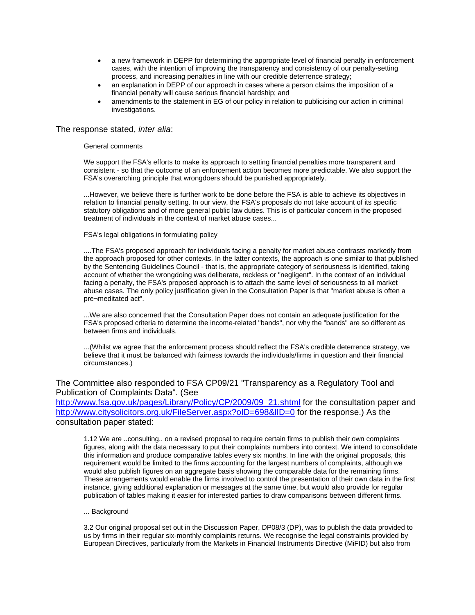- a new framework in DEPP for determining the appropriate level of financial penalty in enforcement cases, with the intention of improving the transparency and consistency of our penalty-setting process, and increasing penalties in line with our credible deterrence strategy;
- an explanation in DEPP of our approach in cases where a person claims the imposition of a financial penalty will cause serious financial hardship; and
- amendments to the statement in EG of our policy in relation to publicising our action in criminal investigations.

### The response stated, *inter alia*:

#### General comments

We support the FSA's efforts to make its approach to setting financial penalties more transparent and consistent - so that the outcome of an enforcement action becomes more predictable. We also support the FSA's overarching principle that wrongdoers should be punished appropriately.

...However, we believe there is further work to be done before the FSA is able to achieve its objectives in relation to financial penalty setting. In our view, the FSA's proposals do not take account of its specific statutory obligations and of more general public law duties. This is of particular concern in the proposed treatment of individuals in the context of market abuse cases...

### FSA's legal obligations in formulating policy

....The FSA's proposed approach for individuals facing a penalty for market abuse contrasts markedly from the approach proposed for other contexts. In the latter contexts, the approach is one similar to that published by the Sentencing Guidelines Council - that is, the appropriate category of seriousness is identified, taking account of whether the wrongdoing was deliberate, reckless or "negligent". In the context of an individual facing a penalty, the FSA's proposed approach is to attach the same level of seriousness to all market abuse cases. The only policy justification given in the Consultation Paper is that "market abuse is often a pre¬meditated act".

...We are also concerned that the Consultation Paper does not contain an adequate justification for the FSA's proposed criteria to determine the income-related "bands", nor why the "bands" are so different as between firms and individuals.

...(Whilst we agree that the enforcement process should reflect the FSA's credible deterrence strategy, we believe that it must be balanced with fairness towards the individuals/firms in question and their financial circumstances.)

The Committee also responded to FSA CP09/21 "Transparency as a Regulatory Tool and Publication of Complaints Data". (See

[http://www.fsa.gov.uk/pages/Library/Policy/CP/2009/09\\_21.shtml](http://www.fsa.gov.uk/pages/Library/Policy/CP/2009/09_21.shtml) for the consultation paper and <http://www.citysolicitors.org.uk/FileServer.aspx?oID=698&lID=0> for the response.) As the consultation paper stated:

1.12 We are ..consulting.. on a revised proposal to require certain firms to publish their own complaints figures, along with the data necessary to put their complaints numbers into context. We intend to consolidate this information and produce comparative tables every six months. In line with the original proposals, this requirement would be limited to the firms accounting for the largest numbers of complaints, although we would also publish figures on an aggregate basis showing the comparable data for the remaining firms. These arrangements would enable the firms involved to control the presentation of their own data in the first instance, giving additional explanation or messages at the same time, but would also provide for regular publication of tables making it easier for interested parties to draw comparisons between different firms.

### ... Background

3.2 Our original proposal set out in the Discussion Paper, DP08/3 (DP), was to publish the data provided to us by firms in their regular six-monthly complaints returns. We recognise the legal constraints provided by European Directives, particularly from the Markets in Financial Instruments Directive (MiFID) but also from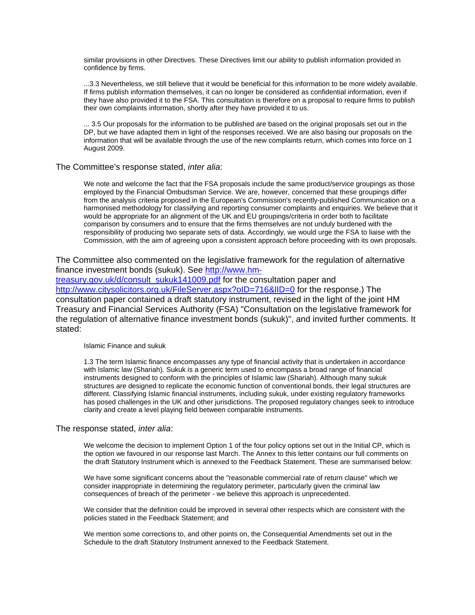similar provisions in other Directives. These Directives limit our ability to publish information provided in confidence by firms.

...3.3 Nevertheless, we still believe that it would be beneficial for this information to be more widely available. If firms publish information themselves, it can no longer be considered as confidential information, even if they have also provided it to the FSA. This consultation is therefore on a proposal to require firms to publish their own complaints information, shortly after they have provided it to us.

... 3.5 Our proposals for the information to be published are based on the original proposals set out in the DP, but we have adapted them in light of the responses received. We are also basing our proposals on the information that will be available through the use of the new complaints return, which comes into force on 1 August 2009.

### The Committee's response stated, *inter alia*:

We note and welcome the fact that the FSA proposals include the same product/service groupings as those employed by the Financial Ombudsman Service. We are, however, concerned that these groupings differ from the analysis criteria proposed in the European's Commission's recently-published Communication on a harmonised methodology for classifying and reporting consumer complaints and enquiries. We believe that it would be appropriate for an alignment of the UK and EU groupings/criteria in order both to facilitate comparison by consumers and to ensure that the firms themselves are not unduly burdened with the responsibility of producing two separate sets of data. Accordingly, we would urge the FSA to liaise with the Commission, with the aim of agreeing upon a consistent approach before proceeding with its own proposals.

The Committee also commented on the legislative framework for the regulation of alternative finance investment bonds (sukuk). See [http://www.hm-](http://www.hm-treasury.gov.uk/d/consult_sukuk141009.pdf)

[treasury.gov.uk/d/consult\\_sukuk141009.pdf](http://www.hm-treasury.gov.uk/d/consult_sukuk141009.pdf) for the consultation paper and <http://www.citysolicitors.org.uk/FileServer.aspx?oID=716&lID=0> for the response.) The consultation paper contained a draft statutory instrument, revised in the light of the joint HM Treasury and Financial Services Authority (FSA) "Consultation on the legislative framework for the regulation of alternative finance investment bonds (sukuk)", and invited further comments. It stated:

#### Islamic Finance and sukuk

1.3 The term Islamic finance encompasses any type of financial activity that is undertaken in accordance with Islamic law (Shariah). Sukuk is a generic term used to encompass a broad range of financial instruments designed to conform with the principles of Islamic law (Shariah). Although many sukuk structures are designed to replicate the economic function of conventional bonds, their legal structures are different. Classifying Islamic financial instruments, including sukuk, under existing regulatory frameworks has posed challenges in the UK and other jurisdictions. The proposed regulatory changes seek to introduce clarity and create a level playing field between comparable instruments.

#### The response stated, *inter alia*:

We welcome the decision to implement Option 1 of the four policy options set out in the Initial CP, which is the option we favoured in our response last March. The Annex to this letter contains our full comments on the draft Statutory Instrument which is annexed to the Feedback Statement. These are summarised below:

We have some significant concerns about the "reasonable commercial rate of return clause'' which we consider inappropriate in determining the regulatory perimeter, particularly given the criminal law consequences of breach of the perimeter - we believe this approach is unprecedented.

We consider that the definition could be improved in several other respects which are consistent with the policies stated in the Feedback Statement; and

We mention some corrections to, and other points on, the Consequential Amendments set out in the Schedule to the draft Statutory Instrument annexed to the Feedback Statement.